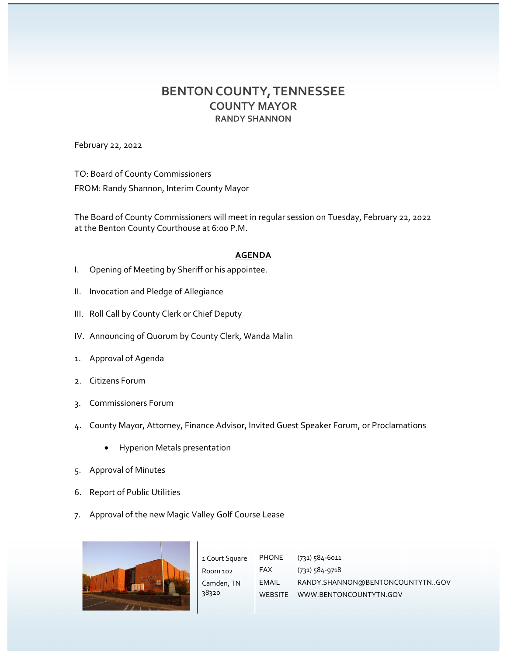## **BENTON COUNTY, TENNESSEE COUNTY MAYOR RANDY SHANNON**

February 22, 2022

TO: Board of County Commissioners FROM: Randy Shannon, Interim County Mayor

The Board of County Commissioners will meet in regular session on Tuesday, February 22, 2022 at the Benton County Courthouse at 6:00 P.M.

## **AGENDA**

- I. Opening of Meeting by Sheriff or his appointee.
- II. Invocation and Pledge of Allegiance
- III. Roll Call by County Clerk or Chief Deputy
- IV. Announcing of Quorum by County Clerk, Wanda Malin
- 1. Approval of Agenda
- 2. Citizens Forum
- 3. Commissioners Forum
- 4. County Mayor, Attorney, Finance Advisor, Invited Guest Speaker Forum, or Proclamations
	- Hyperion Metals presentation
- 5. Approval of Minutes
- 6. Report of Public Utilities
- 7. Approval of the new Magic Valley Golf Course Lease



| ourt Square | PHONE | $(731) 584 - 6011$              |
|-------------|-------|---------------------------------|
| om 102      | FAX   | $(731)$ 584-9718                |
| nden, TN    | EMAIL | RANDY.SHANNON@BENTONCOUNTYTNGOV |
| 120         |       | WEBSITE WWW.BENTONCOUNTYTN.GOV  |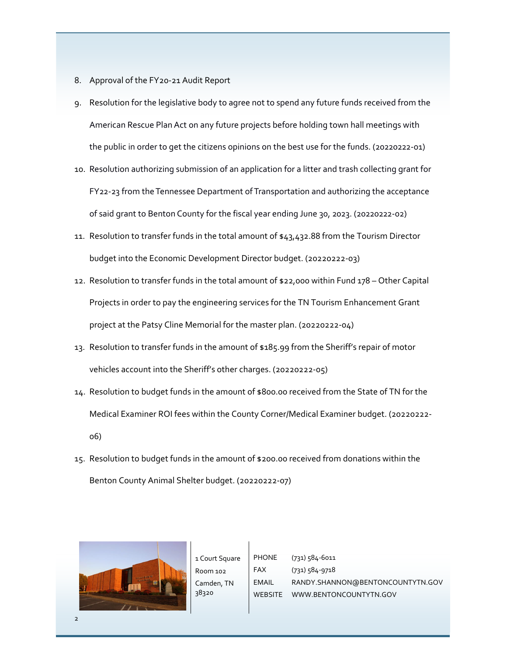- 8. Approval of the FY20-21 Audit Report
- 9. Resolution for the legislative body to agree not to spend any future funds received from the American Rescue Plan Act on any future projects before holding town hall meetings with the public in order to get the citizens opinions on the best use for the funds. (20220222‐01)
- 10. Resolution authorizing submission of an application for a litter and trash collecting grant for FY22-23 from the Tennessee Department of Transportation and authorizing the acceptance of said grant to Benton County for the fiscal year ending June 30, 2023. (20220222‐02)
- 11. Resolution to transfer funds in the total amount of \$43,432.88 from the Tourism Director budget into the Economic Development Director budget. (20220222‐03)
- 12. Resolution to transfer funds in the total amount of \$22,000 within Fund 178 Other Capital Projects in order to pay the engineering services for the TN Tourism Enhancement Grant project at the Patsy Cline Memorial for the master plan. (20220222‐04)
- 13. Resolution to transfer funds in the amount of \$185.99 from the Sheriff's repair of motor vehicles account into the Sheriff's other charges. (20220222‐05)
- 14. Resolution to budget funds in the amount of \$800.00 received from the State of TN for the Medical Examiner ROI fees within the County Corner/Medical Examiner budget. (20220222‐ 06)
- 15. Resolution to budget funds in the amount of \$200.00 received from donations within the Benton County Animal Shelter budget. (20220222‐07)



1 Court Square Room 102 Camden, TN 38320

PHONE FAX EMAIL WEBSITE WWW.BENTONCOUNTYTN.GOV (731) 584‐6011 (731) 584‐9718 RANDY.SHANNON@BENTONCOUNTYTN.GOV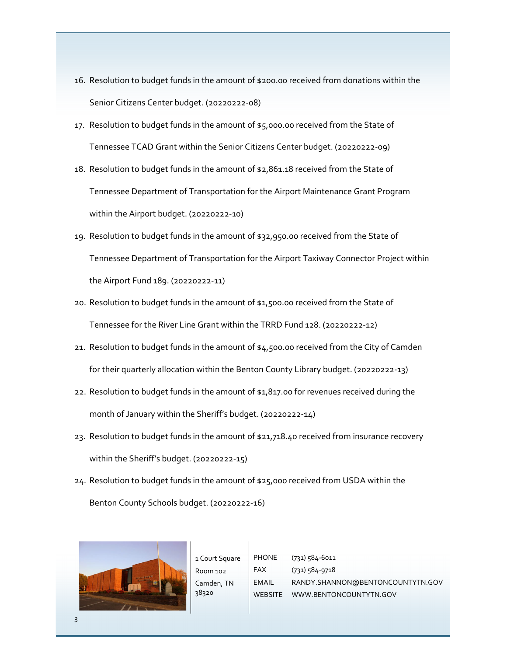- 16. Resolution to budget funds in the amount of \$200.00 received from donations within the Senior Citizens Center budget. (20220222‐08)
- 17. Resolution to budget funds in the amount of \$5,000.00 received from the State of Tennessee TCAD Grant within the Senior Citizens Center budget. (20220222‐09)
- 18. Resolution to budget funds in the amount of \$2,861.18 received from the State of Tennessee Department of Transportation for the Airport Maintenance Grant Program within the Airport budget. (20220222‐10)
- 19. Resolution to budget funds in the amount of \$32,950.00 received from the State of Tennessee Department of Transportation for the Airport Taxiway Connector Project within the Airport Fund 189. (20220222‐11)
- 20. Resolution to budget funds in the amount of \$1,500.00 received from the State of Tennessee for the River Line Grant within the TRRD Fund 128. (20220222‐12)
- 21. Resolution to budget funds in the amount of \$4,500.00 received from the City of Camden for their quarterly allocation within the Benton County Library budget. (20220222‐13)
- 22. Resolution to budget funds in the amount of \$1,817.00 for revenues received during the month of January within the Sheriff's budget. (20220222‐14)
- 23. Resolution to budget funds in the amount of \$21,718.40 received from insurance recovery within the Sheriff's budget. (20220222‐15)
- 24. Resolution to budget funds in the amount of \$25,000 received from USDA within the Benton County Schools budget. (20220222‐16)



1 Court Square Room 102 Camden, TN 38320

PHONE FAX EMAIL WEBSITE WWW.BENTONCOUNTYTN.GOV (731) 584‐6011 (731) 584‐9718 RANDY.SHANNON@BENTONCOUNTYTN.GOV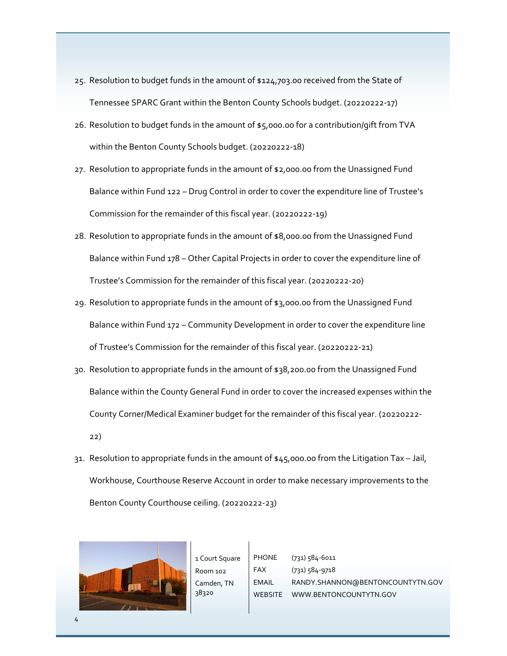- 25. Resolution to budget funds in the amount of \$124,703.00 received from the State of Tennessee SPARC Grant within the Benton County Schools budget. (20220222‐17)
- 26. Resolution to budget funds in the amount of \$5,000.00 for a contribution/gift from TVA within the Benton County Schools budget. (20220222‐18)
- 27. Resolution to appropriate funds in the amount of \$2,000.00 from the Unassigned Fund Balance within Fund 122 – Drug Control in order to cover the expenditure line of Trustee's Commission for the remainder of this fiscal year. (20220222‐19)
- 28. Resolution to appropriate funds in the amount of \$8,000.00 from the Unassigned Fund Balance within Fund 178 – Other Capital Projects in order to cover the expenditure line of Trustee's Commission for the remainder of this fiscal year. (20220222‐20)
- 29. Resolution to appropriate funds in the amount of \$3,000.00 from the Unassigned Fund Balance within Fund 172 – Community Development in order to cover the expenditure line of Trustee's Commission for the remainder of this fiscal year. (20220222‐21)
- 30. Resolution to appropriate funds in the amount of \$38,200.00 from the Unassigned Fund Balance within the County General Fund in order to cover the increased expenses within the County Corner/Medical Examiner budget for the remainder of this fiscal year. (20220222‐ 22)
- 31. Resolution to appropriate funds in the amount of \$45,000.00 from the Litigation Tax Jail, Workhouse, Courthouse Reserve Account in order to make necessary improvements to the Benton County Courthouse ceiling. (20220222‐23)



1 Court Square Room 102 Camden, TN 38320

PHONE FAX EMAIL WEBSITE WWW.BENTONCOUNTYTN.GOV (731) 584‐6011 (731) 584‐9718 RANDY.SHANNON@BENTONCOUNTYTN.GOV